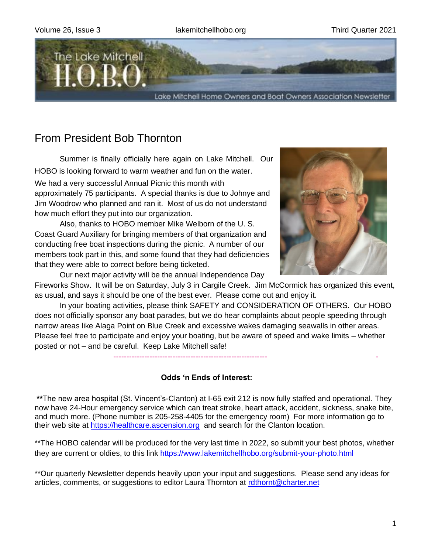

# From President Bob Thornton

 Summer is finally officially here again on Lake Mitchell. Our HOBO is looking forward to warm weather and fun on the water. We had a very successful Annual Picnic this month with approximately 75 participants. A special thanks is due to Johnye and Jim Woodrow who planned and ran it. Most of us do not understand how much effort they put into our organization.

 Also, thanks to HOBO member Mike Welborn of the U. S. Coast Guard Auxiliary for bringing members of that organization and conducting free boat inspections during the picnic. A number of our members took part in this, and some found that they had deficiencies that they were able to correct before being ticketed.

Our next major activity will be the annual Independence Day

Fireworks Show. It will be on Saturday, July 3 in Cargile Creek. Jim McCormick has organized this event, as usual, and says it should be one of the best ever. Please come out and enjoy it.

 In your boating activities, please think SAFETY and CONSIDERATION OF OTHERS. Our HOBO does not officially sponsor any boat parades, but we do hear complaints about people speeding through narrow areas like Alaga Point on Blue Creek and excessive wakes damaging seawalls in other areas. Please feel free to participate and enjoy your boating, but be aware of speed and wake limits – whether posted or not – and be careful. Keep Lake Mitchell safe!

## **Odds 'n Ends of Interest:**

------------------------------------------------------------ -

**\*\***The new area hospital (St. Vincent's-Clanton) at I-65 exit 212 is now fully staffed and operational. They now have 24-Hour emergency service which can treat stroke, heart attack, accident, sickness, snake bite, and much more. (Phone number is 205-258-4405 for the emergency room) For more information go to their web site at [https://healthcare.ascension.org](https://healthcare.ascension.org/) and search for the Clanton location.

\*\*The HOBO calendar will be produced for the very last time in 2022, so submit your best photos, whether they are current or oldies, to this link<https://www.lakemitchellhobo.org/submit-your-photo.html>

\*\*Our quarterly Newsletter depends heavily upon your input and suggestions. Please send any ideas for articles, comments, or suggestions to editor Laura Thornton at [rdthornt@charter.net](mailto:rdthornt@charter.net)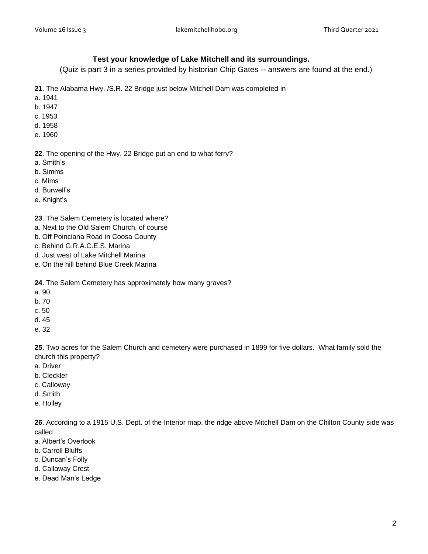#### **Test your knowledge of Lake Mitchell and its surroundings.**

(Quiz is part 3 in a series provided by historian Chip Gates -- answers are found at the end.)

- **21**. The Alabama Hwy. /S.R. 22 Bridge just below Mitchell Dam was completed in
- a. 1941
- b. 1947
- c. 1953
- d. 1958
- e. 1960

**22**. The opening of the Hwy. 22 Bridge put an end to what ferry?

- a. Smith's
- b. Simms
- c. Mims
- d. Burwell's
- e. Knight's

**23**. The Salem Cemetery is located where?

- a. Next to the Old Salem Church, of course
- b. Off Poinciana Road in Coosa County
- c. Behind G.R.A.C.E.S. Marina
- d. Just west of Lake Mitchell Marina
- e. On the hill behind Blue Creek Marina
- **24**. The Salem Cemetery has approximately how many graves?
- a. 90
- b. 70
- c. 50
- d. 45
- e. 32

**25**. Two acres for the Salem Church and cemetery were purchased in 1899 for five dollars. What family sold the church this property?

- a. Driver
- b. Cleckler
- c. Calloway
- d. Smith
- e. Holley

**26**. According to a 1915 U.S. Dept. of the Interior map, the ridge above Mitchell Dam on the Chilton County side was called

- a. Albert's Overlook
- b. Carroll Bluffs
- c. Duncan's Folly
- d. Callaway Crest
- e. Dead Man's Ledge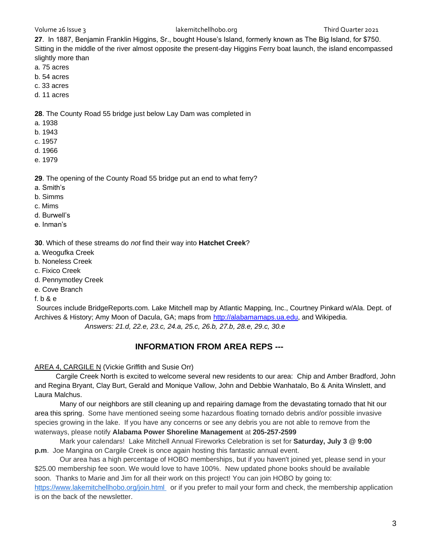#### Volume 26 Issue 3 lakemitchellhobo.org **Statement Constanting 10 and 2021** Third Quarter 2021

**27**. In 1887, Benjamin Franklin Higgins, Sr., bought House's Island, formerly known as The Big Island, for \$750. Sitting in the middle of the river almost opposite the present-day Higgins Ferry boat launch, the island encompassed slightly more than

- a. 75 acres
- b. 54 acres
- c. 33 acres
- d. 11 acres

**28**. The County Road 55 bridge just below Lay Dam was completed in

- a. 1938
- b. 1943
- c. 1957
- d. 1966
- e. 1979

**29**. The opening of the County Road 55 bridge put an end to what ferry?

- a. Smith's
- b. Simms
- c. Mims
- d. Burwell's
- e. Inman's

**30**. Which of these streams do *not* find their way into **Hatchet Creek**?

- a. Weogufka Creek
- b. Noneless Creek
- c. Fixico Creek
- d. Pennymotley Creek
- e. Cove Branch
- f. b & e

Sources include BridgeReports.com. Lake Mitchell map by Atlantic Mapping, Inc., Courtney Pinkard w/Ala. Dept. of Archives & History; Amy Moon of Dacula, GA; maps from [http://alabamamaps.ua.edu,](http://alabamamaps.ua.edu/) and Wikipedia. *Answers: 21.d, 22.e, 23.c, 24.a, 25.c, 26.b, 27.b, 28.e, 29.c, 30.e*

## **INFORMATION FROM AREA REPS ---**

#### AREA 4, CARGILE N (Vickie Griffith and Susie Orr)

 Cargile Creek North is excited to welcome several new residents to our area: Chip and Amber Bradford, John and Regina Bryant, Clay Burt, Gerald and Monique Vallow, John and Debbie Wanhatalo, Bo & Anita Winslett, and Laura Malchus.

Many of our neighbors are still cleaning up and repairing damage from the devastating tornado that hit our area this spring.Some have mentioned seeing some hazardous floating tornado debris and/or possible invasive species growing in the lake. If you have any concerns or see any debris you are not able to remove from the waterways, please notify **Alabama Power Shoreline Management** at **205-257-2599**

Mark your calendars! Lake Mitchell Annual Fireworks Celebration is set for **Saturday, July 3 @ 9:00 p.m**. Joe Mangina on Cargile Creek is once again hosting this fantastic annual event.

Our area has a high percentage of HOBO memberships, but if you haven't joined yet, please send in your \$25.00 membership fee soon. We would love to have 100%. New updated phone books should be available soon. Thanks to Marie and Jim for all their work on this project! You can join HOBO by going to: <https://www.lakemitchellhobo.org/join.html> or if you prefer to mail your form and check, the membership application is on the back of the newsletter.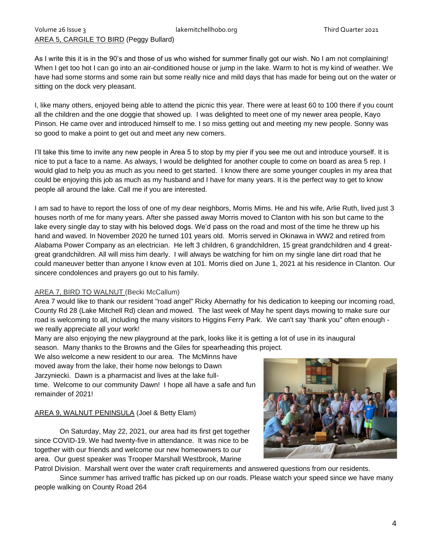## AREA 5, CARGILE TO BIRD (Peggy Bullard)

As I write this it is in the 90's and those of us who wished for summer finally got our wish. No I am not complaining! When I get too hot I can go into an air-conditioned house or jump in the lake. Warm to hot is my kind of weather. We have had some storms and some rain but some really nice and mild days that has made for being out on the water or sitting on the dock very pleasant.

I, like many others, enjoyed being able to attend the picnic this year. There were at least 60 to 100 there if you count all the children and the one doggie that showed up. I was delighted to meet one of my newer area people, Kayo Pinson. He came over and introduced himself to me. I so miss getting out and meeting my new people. Sonny was so good to make a point to get out and meet any new comers.

I'll take this time to invite any new people in Area 5 to stop by my pier if you see me out and introduce yourself. It is nice to put a face to a name. As always, I would be delighted for another couple to come on board as area 5 rep. I would glad to help you as much as you need to get started. I know there are some younger couples in my area that could be enjoying this job as much as my husband and I have for many years. It is the perfect way to get to know people all around the lake. Call me if you are interested.

I am sad to have to report the loss of one of my dear neighbors, Morris Mims. He and his wife, Arlie Ruth, lived just 3 houses north of me for many years. After she passed away Morris moved to Clanton with his son but came to the lake every single day to stay with his beloved dogs. We'd pass on the road and most of the time he threw up his hand and waved. In November 2020 he turned 101 years old. Morris served in Okinawa in WW2 and retired from Alabama Power Company as an electrician. He left 3 children, 6 grandchildren, 15 great grandchildren and 4 greatgreat grandchildren. All will miss him dearly. I will always be watching for him on my single lane dirt road that he could maneuver better than anyone I know even at 101. Morris died on June 1, 2021 at his residence in Clanton. Our sincere condolences and prayers go out to his family.

#### AREA 7, BIRD TO WALNUT (Becki McCallum)

Area 7 would like to thank our resident "road angel" Ricky Abernathy for his dedication to keeping our incoming road, County Rd 28 (Lake Mitchell Rd) clean and mowed. The last week of May he spent days mowing to make sure our road is welcoming to all, including the many visitors to Higgins Ferry Park. We can't say 'thank you" often enough we really appreciate all your work!

Many are also enjoying the new playground at the park, looks like it is getting a lot of use in its inaugural season. Many thanks to the Browns and the Giles for spearheading this project.

We also welcome a new resident to our area. The McMinns have moved away from the lake, their home now belongs to Dawn Jarzyniecki. Dawn is a pharmacist and lives at the lake fulltime. Welcome to our community Dawn! I hope all have a safe and fun remainder of 2021!

#### AREA 9, WALNUT PENINSULA (Joel & Betty Elam)

On Saturday, May 22, 2021, our area had its first get together since COVID-19. We had twenty-five in attendance. It was nice to be together with our friends and welcome our new homeowners to our area. Our guest speaker was Trooper Marshall Westbrook, Marine



Patrol Division. Marshall went over the water craft requirements and answered questions from our residents.

Since summer has arrived traffic has picked up on our roads. Please watch your speed since we have many people walking on County Road 264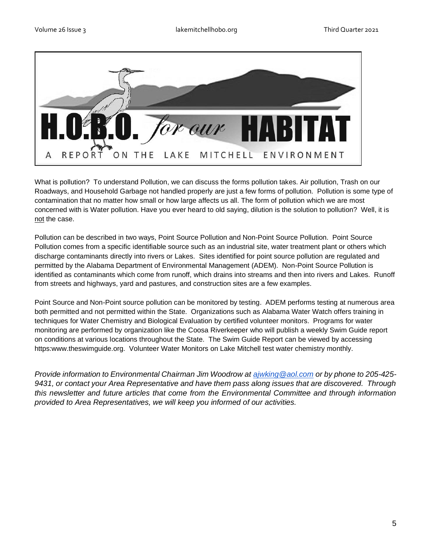

What is pollution? To understand Pollution, we can discuss the forms pollution takes. Air pollution, Trash on our Roadways, and Household Garbage not handled properly are just a few forms of pollution. Pollution is some type of contamination that no matter how small or how large affects us all. The form of pollution which we are most concerned with is Water pollution. Have you ever heard to old saying, dilution is the solution to pollution? Well, it is not the case.

Pollution can be described in two ways, Point Source Pollution and Non-Point Source Pollution. Point Source Pollution comes from a specific identifiable source such as an industrial site, water treatment plant or others which discharge contaminants directly into rivers or Lakes. Sites identified for point source pollution are regulated and permitted by the Alabama Department of Environmental Management (ADEM). Non-Point Source Pollution is identified as contaminants which come from runoff, which drains into streams and then into rivers and Lakes. Runoff from streets and highways, yard and pastures, and construction sites are a few examples.

Point Source and Non-Point source pollution can be monitored by testing. ADEM performs testing at numerous area both permitted and not permitted within the State. Organizations such as Alabama Water Watch offers training in techniques for Water Chemistry and Biological Evaluation by certified volunteer monitors. Programs for water monitoring are performed by organization like the Coosa Riverkeeper who will publish a weekly Swim Guide report on conditions at various locations throughout the State. The Swim Guide Report can be viewed by accessing https:www.theswimguide.org. Volunteer Water Monitors on Lake Mitchell test water chemistry monthly.

*Provide information to Environmental Chairman Jim Woodrow at [ajwking@aol.com](mailto:ajwking@aol.com) or by phone to 205-425- 9431, or contact your Area Representative and have them pass along issues that are discovered. Through this newsletter and future articles that come from the Environmental Committee and through information provided to Area Representatives, we will keep you informed of our activities.*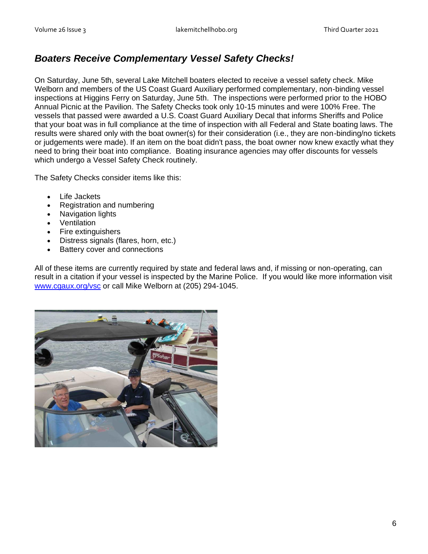## *Boaters Receive Complementary Vessel Safety Checks!*

On Saturday, June 5th, several Lake Mitchell boaters elected to receive a vessel safety check. Mike Welborn and members of the US Coast Guard Auxiliary performed complementary, non-binding vessel inspections at Higgins Ferry on Saturday, June 5th. The inspections were performed prior to the HOBO Annual Picnic at the Pavilion. The Safety Checks took only 10-15 minutes and were 100% Free. The vessels that passed were awarded a U.S. Coast Guard Auxiliary Decal that informs Sheriffs and Police that your boat was in full compliance at the time of inspection with all Federal and State boating laws. The results were shared only with the boat owner(s) for their consideration (i.e., they are non-binding/no tickets or judgements were made). If an item on the boat didn't pass, the boat owner now knew exactly what they need to bring their boat into compliance. Boating insurance agencies may offer discounts for vessels which undergo a Vessel Safety Check routinely.

The Safety Checks consider items like this:

- Life Jackets
- Registration and numbering
- Navigation lights
- **Ventilation**
- Fire extinguishers
- Distress signals (flares, horn, etc.)
- Battery cover and connections

All of these items are currently required by state and federal laws and, if missing or non-operating, can result in a citation if your vessel is inspected by the Marine Police. If you would like more information visit [www.cgaux.org/vsc](http://www.cgaux.org/vsc) or call Mike Welborn at (205) 294-1045.

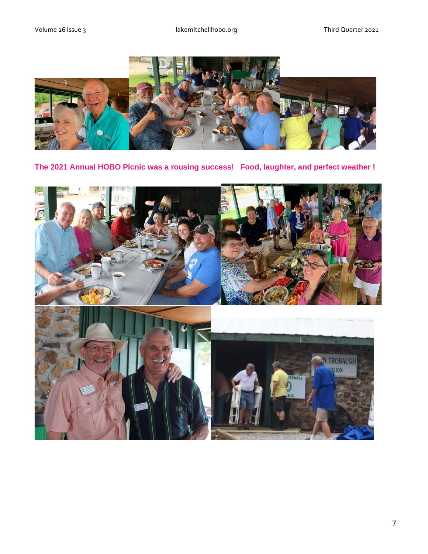

**The 2021 Annual HOBO Picnic was a rousing success! Food, laughter, and perfect weather !**